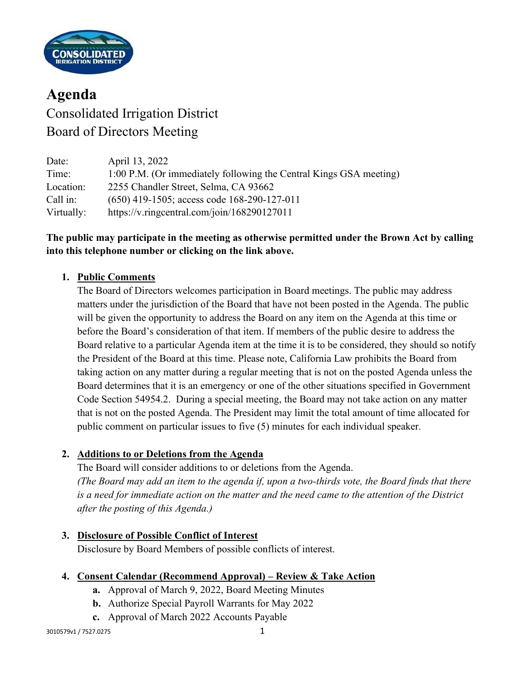

# **Agenda** Consolidated Irrigation District Board of Directors Meeting

| Date:      | April 13, 2022                                                     |
|------------|--------------------------------------------------------------------|
| Time:      | 1:00 P.M. (Or immediately following the Central Kings GSA meeting) |
| Location:  | 2255 Chandler Street, Selma, CA 93662                              |
| Call in:   | $(650)$ 419-1505; access code 168-290-127-011                      |
| Virtually: | https://v.ringcentral.com/join/168290127011                        |

## **The public may participate in the meeting as otherwise permitted under the Brown Act by calling into this telephone number or clicking on the link above.**

## **1. Public Comments**

The Board of Directors welcomes participation in Board meetings. The public may address matters under the jurisdiction of the Board that have not been posted in the Agenda. The public will be given the opportunity to address the Board on any item on the Agenda at this time or before the Board's consideration of that item. If members of the public desire to address the Board relative to a particular Agenda item at the time it is to be considered, they should so notify the President of the Board at this time. Please note, California Law prohibits the Board from taking action on any matter during a regular meeting that is not on the posted Agenda unless the Board determines that it is an emergency or one of the other situations specified in Government Code Section 54954.2. During a special meeting, the Board may not take action on any matter that is not on the posted Agenda. The President may limit the total amount of time allocated for public comment on particular issues to five (5) minutes for each individual speaker.

## **2. Additions to or Deletions from the Agenda**

The Board will consider additions to or deletions from the Agenda. *(The Board may add an item to the agenda if, upon a two-thirds vote, the Board finds that there is a need for immediate action on the matter and the need came to the attention of the District after the posting of this Agenda.)*

## **3. Disclosure of Possible Conflict of Interest**

Disclosure by Board Members of possible conflicts of interest.

#### **4. Consent Calendar (Recommend Approval) – Review & Take Action**

- **a.** Approval of March 9, 2022, Board Meeting Minutes
- **b.** Authorize Special Payroll Warrants for May 2022
- **c.** Approval of March 2022 Accounts Payable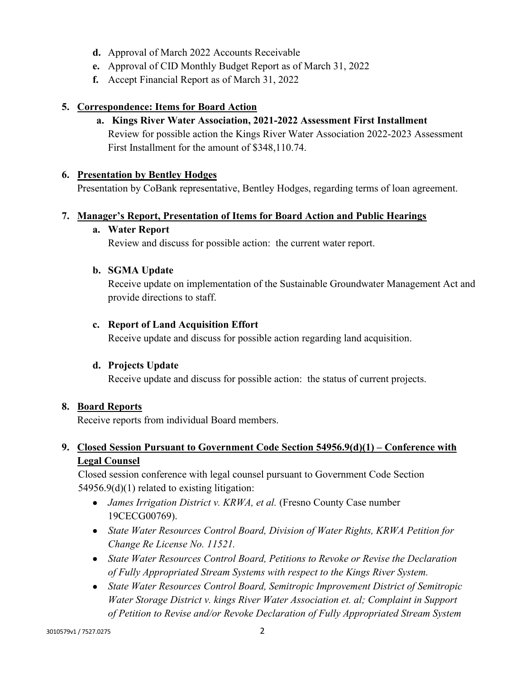- **d.** Approval of March 2022 Accounts Receivable
- **e.** Approval of CID Monthly Budget Report as of March 31, 2022
- **f.** Accept Financial Report as of March 31, 2022

### **5. Correspondence: Items for Board Action**

**a. Kings River Water Association, 2021-2022 Assessment First Installment** Review for possible action the Kings River Water Association 2022-2023 Assessment First Installment for the amount of \$348,110.74.

#### **6. Presentation by Bentley Hodges**

Presentation by CoBank representative, Bentley Hodges, regarding terms of loan agreement.

### **7. Manager's Report, Presentation of Items for Board Action and Public Hearings**

#### **a. Water Report**

Review and discuss for possible action: the current water report.

#### **b. SGMA Update**

Receive update on implementation of the Sustainable Groundwater Management Act and provide directions to staff.

#### **c. Report of Land Acquisition Effort**

Receive update and discuss for possible action regarding land acquisition.

#### **d. Projects Update**

Receive update and discuss for possible action: the status of current projects.

#### **8. Board Reports**

Receive reports from individual Board members.

## **9. Closed Session Pursuant to Government Code Section 54956.9(d)(1) – Conference with Legal Counsel**

Closed session conference with legal counsel pursuant to Government Code Section 54956.9(d)(1) related to existing litigation:

- *James Irrigation District v. KRWA, et al.* (Fresno County Case number 19CECG00769).
- *State Water Resources Control Board, Division of Water Rights, KRWA Petition for Change Re License No. 11521.*
- *State Water Resources Control Board, Petitions to Revoke or Revise the Declaration of Fully Appropriated Stream Systems with respect to the Kings River System.*
- *State Water Resources Control Board, Semitropic Improvement District of Semitropic Water Storage District v. kings River Water Association et. al; Complaint in Support of Petition to Revise and/or Revoke Declaration of Fully Appropriated Stream System*